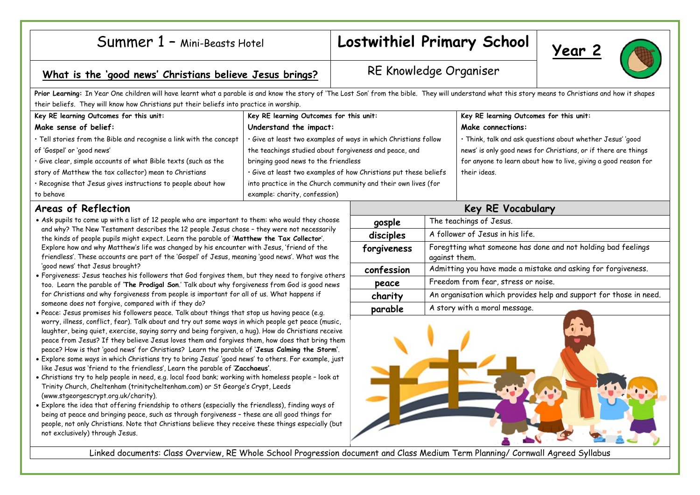|  | Summer 1 - Mini-Beasts Hotel |
|--|------------------------------|
|--|------------------------------|

## Lostwithiel Primary School | Year 2





## What is the 'good news' Christians believe Jesus brings? RE Knowledge Organiser

**Prior Learning:** In Year One children will have learnt what a parable is and know the story of 'The Lost Son' from the bible. They will understand what this story means to Christians and how it shapes their beliefs. They will know how Christians put their beliefs into practice in worship. **Key RE learning Outcomes for this unit: Make sense of belief:** • Tell stories from the Bible and recognise a link with the concept of 'Gospel' or 'good news' • Give clear, simple accounts of what Bible texts (such as the story of Matthew the tax collector) mean to Christians • Recognise that Jesus gives instructions to people about how to behave **Key RE learning Outcomes for this unit: Understand the impact:** • Give at least two examples of ways in which Christians follow the teachings studied about forgiveness and peace, and bringing good news to the friendless • Give at least two examples of how Christians put these beliefs into practice in the Church community and their own lives (for example: charity, confession) **Key RE learning Outcomes for this unit: Make connections:** • Think, talk and ask questions about whether Jesus' 'good news' is only good news for Christians, or if there are things for anyone to learn about how to live, giving a good reason for their ideas. **Areas of Reflection** • Ask pupils to come up with a list of 12 people who are important to them: who would they choose and why? The New Testament describes the 12 people Jesus chose – they were not necessarily the kinds of people pupils might expect. Learn the parable of '**Matthew the Tax Collector**'. Explore how and why Matthew's life was changed by his encounter with Jesus, 'friend of the friendless'. These accounts are part of the 'Gospel' of Jesus, meaning 'good news'. What was the 'good news' that Jesus brought? • Forgiveness: Jesus teaches his followers that God forgives them, but they need to forgive others too. Learn the parable of '**The Prodigal Son**.' Talk about why forgiveness from God is good news for Christians and why forgiveness from people is important for all of us. What happens if someone does not forgive, compared with if they do? • Peace: Jesus promises his followers peace. Talk about things that stop us having peace (e.g. worry, illness, conflict, fear). Talk about and try out some ways in which people get peace (music, laughter, being quiet, exercise, saying sorry and being forgiven, a hug). How do Christians receive peace from Jesus? If they believe Jesus loves them and forgives them, how does that bring them peace? How is that 'good news' for Christians? Learn the parable of '**Jesus Calming the Storm'**. • Explore some ways in which Christians try to bring Jesus' 'good news' to others. For example, just like Jesus was 'friend to the friendless', Learn the parable of '**Zacchaeus'**. **Key RE Vocabulary gosple** The teachings of Jesus. disciples A follower of Jesus in his life. **forgiveness** Foregtting what someone has done and not holding bad feelings against them. confession | Admitting you have made a mistake and asking for forgiveness. **peace** Freedom from fear, stress or noise. **charity** An organisation which provides help and support for those in need. **parable** A story with a moral message.

- Christians try to help people in need, e.g. local food bank; working with homeless people look at Trinity Church, Cheltenham (trinitycheltenham.com) or St George's Crypt, Leeds (www.stgeorgescrypt.org.uk/charity).
- Explore the idea that offering friendship to others (especially the friendless), finding ways of being at peace and bringing peace, such as through forgiveness – these are all good things for people, not only Christians. Note that Christians believe they receive these things especially (but not exclusively) through Jesus.



Linked documents: Class Overview, RE Whole School Progression document and Class Medium Term Planning/ Cornwall Agreed Syllabus